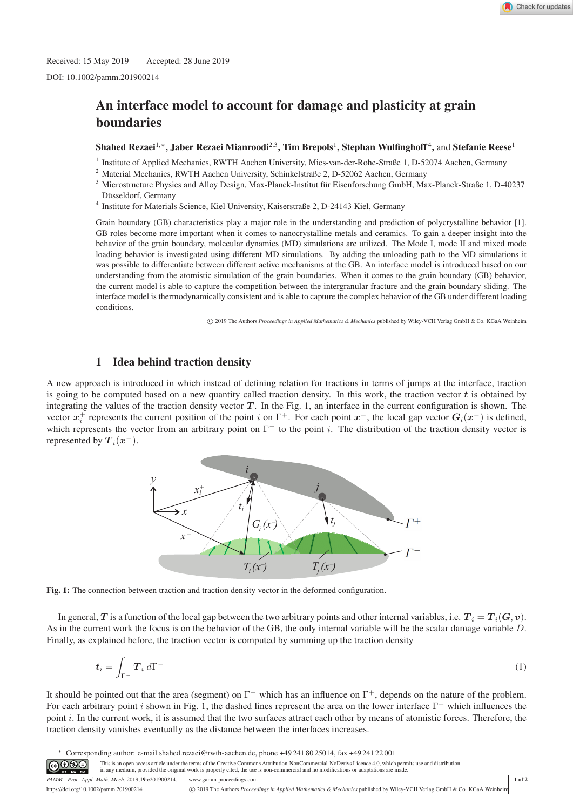DOI: 10.1002/pamm.201900214

# An interface model to account for damage and plasticity at grain boundaries

## Shahed Rezaei<sup>1,</sup>\*, Jaber Rezaei Mianroodi<sup>2,3</sup>, Tim Brepols<sup>1</sup>, Stephan Wulfinghoff<sup>4</sup>, and Stefanie Reese<sup>1</sup>

- 1 Institute of Applied Mechanics, RWTH Aachen University, Mies-van-der-Rohe-Straße 1, D-52074 Aachen, Germany
- <sup>2</sup> Material Mechanics, RWTH Aachen University, Schinkelstraße 2, D-52062 Aachen, Germany
- <sup>3</sup> Microstructure Physics and Alloy Design, Max-Planck-Institut für Eisenforschung GmbH, Max-Planck-Straße 1, D-40237 Düsseldorf, Germany
- 4 Institute for Materials Science, Kiel University, Kaiserstraße 2, D-24143 Kiel, Germany

Grain boundary (GB) characteristics play a major role in the understanding and prediction of polycrystalline behavior [1]. GB roles become more important when it comes to nanocrystalline metals and ceramics. To gain a deeper insight into the behavior of the grain boundary, molecular dynamics (MD) simulations are utilized. The Mode I, mode II and mixed mode loading behavior is investigated using different MD simulations. By adding the unloading path to the MD simulations it was possible to differentiate between different active mechanisms at the GB. An interface model is introduced based on our understanding from the atomistic simulation of the grain boundaries. When it comes to the grain boundary (GB) behavior, the current model is able to capture the competition between the intergranular fracture and the grain boundary sliding. The interface model is thermodynamically consistent and is able to capture the complex behavior of the GB under different loading conditions.

c 2019 The Authors *Proceedings in Applied Mathematics & Mechanics* published by Wiley-VCH Verlag GmbH & Co. KGaA Weinheim

# 1 Idea behind traction density

A new approach is introduced in which instead of defining relation for tractions in terms of jumps at the interface, traction is going to be computed based on a new quantity called traction density. In this work, the traction vector  $t$  is obtained by integrating the values of the traction density vector  $T$ . In the Fig. 1, an interface in the current configuration is shown. The vector  $x_i^+$  represents the current position of the point i on  $\Gamma^+$ . For each point  $x^-$ , the local gap vector  $G_i(x^-)$  is defined, which represents the vector from an arbitrary point on  $\Gamma^-$  to the point i. The distribution of the traction density vector is represented by  $\bm{T}_{i}(\bm{x}^{-}).$ 



Fig. 1: The connection between traction and traction density vector in the deformed configuration.

In general, T is a function of the local gap between the two arbitrary points and other internal variables, i.e.  $T_i = T_i(G, v)$ . As in the current work the focus is on the behavior of the GB, the only internal variable will be the scalar damage variable D. Finally, as explained before, the traction vector is computed by summing up the traction density

$$
\boldsymbol{t}_i = \int_{\Gamma^-} \boldsymbol{T}_i \, d\Gamma^- \tag{1}
$$

It should be pointed out that the area (segment) on  $\Gamma^-$  which has an influence on  $\Gamma^+$ , depends on the nature of the problem. For each arbitrary point i shown in Fig. 1, the dashed lines represent the area on the lower interface  $\Gamma^-$  which influences the point  $i$ . In the current work, it is assumed that the two surfaces attract each other by means of atomistic forces. Therefore, the traction density vanishes eventually as the distance between the interfaces increases.

∗ Corresponding author: e-mail shahed.rezaei@rwth-aachen.de, phone +49 241 80 25014, fax +49 241 22 001

*PAMM · Proc. Appl. Math. Mech.* 2019;19:e201900214. www.gamm-proceedings.com 1 of 2<br>https://doi.org/10.1002/pamm.201900214 **COMPT**he Authors *Proceedings in Applied Mathematics & Mechanics* published by Wiley-VCH Verlag G https://doi.org/10.1002/pamm.201900214 c 2019 The Authors *Proceedings in Applied Mathematics & Mechanics* published by Wiley-VCH Verlag GmbH & Co. KGaA Weinheim

<sup>ெ</sup> This is an open access article under the terms of the Creative Commons Attribution-NonCommercial-NoDerivs Licence 4.0, which permits use and distribution<br>in any medium, provided the original work is properly cited, the use